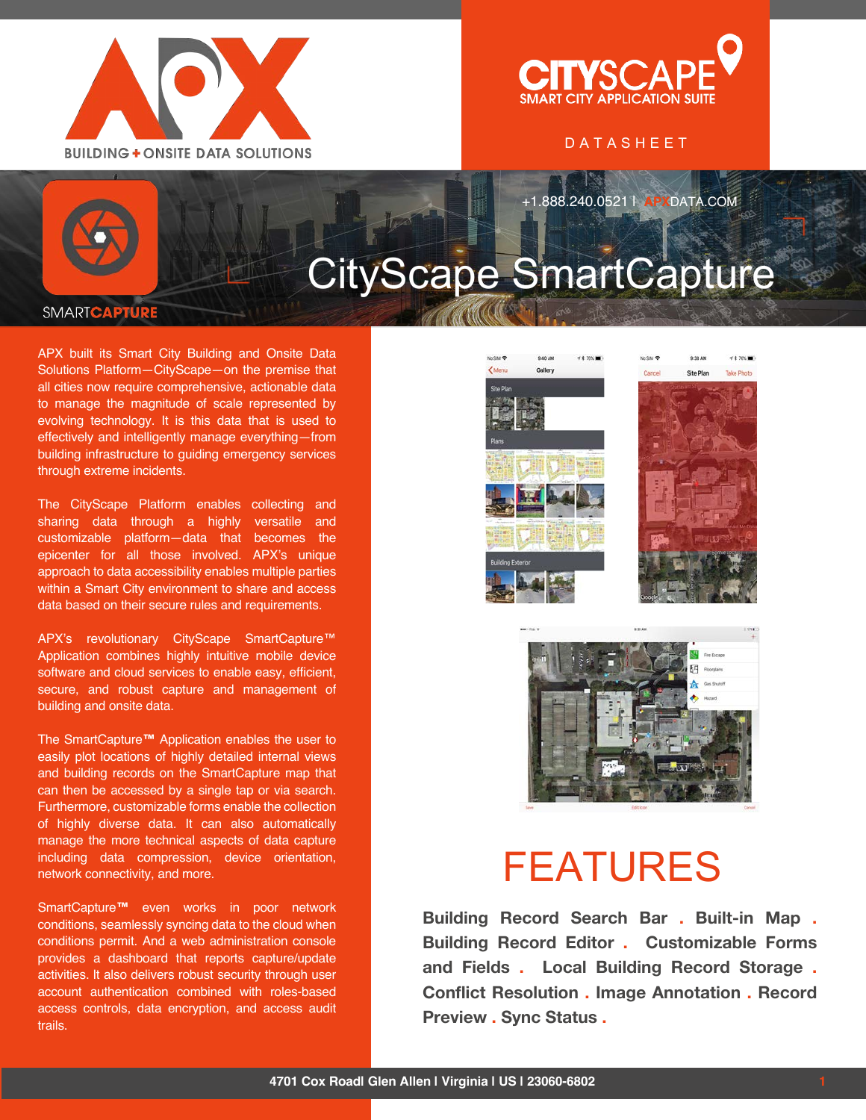



### DATASHEET

+1.888.240.0521 | **APX**DATA.COM

# CityScape SmartCapture

#### **SMARTCAPT**

APX built its Smart City Building and Onsite Data Solutions Platform—CityScape—on the premise that all cities now require comprehensive, actionable data to manage the magnitude of scale represented by evolving technology. It is this data that is used to effectively and intelligently manage everything—from building infrastructure to guiding emergency services through extreme incidents.

The CityScape Platform enables collecting and sharing data through a highly versatile and customizable platform—data that becomes the epicenter for all those involved. APX's unique approach to data accessibility enables multiple parties within a Smart City environment to share and access data based on their secure rules and requirements.

APX's revolutionary CityScape SmartCapture™ Application combines highly intuitive mobile device software and cloud services to enable easy, efficient, secure, and robust capture and management of building and onsite data.

The SmartCapture**™** Application enables the user to easily plot locations of highly detailed internal views and building records on the SmartCapture map that can then be accessed by a single tap or via search. Furthermore, customizable forms enable the collection of highly diverse data. It can also automatically manage the more technical aspects of data capture including data compression, device orientation, network connectivity, and more.

SmartCapture**™** even works in poor network conditions, seamlessly syncing data to the cloud when conditions permit. And a web administration console provides a dashboard that reports capture/update activities. It also delivers robust security through user account authentication combined with roles-based access controls, data encryption, and access audit trails.





# **FEATURES**

**Building Record Search Bar . Built-in Map . Building Record Editor . Customizable Forms and Fields . Local Building Record Storage . Conflict Resolution . Image Annotation . Record Preview . Sync Status .**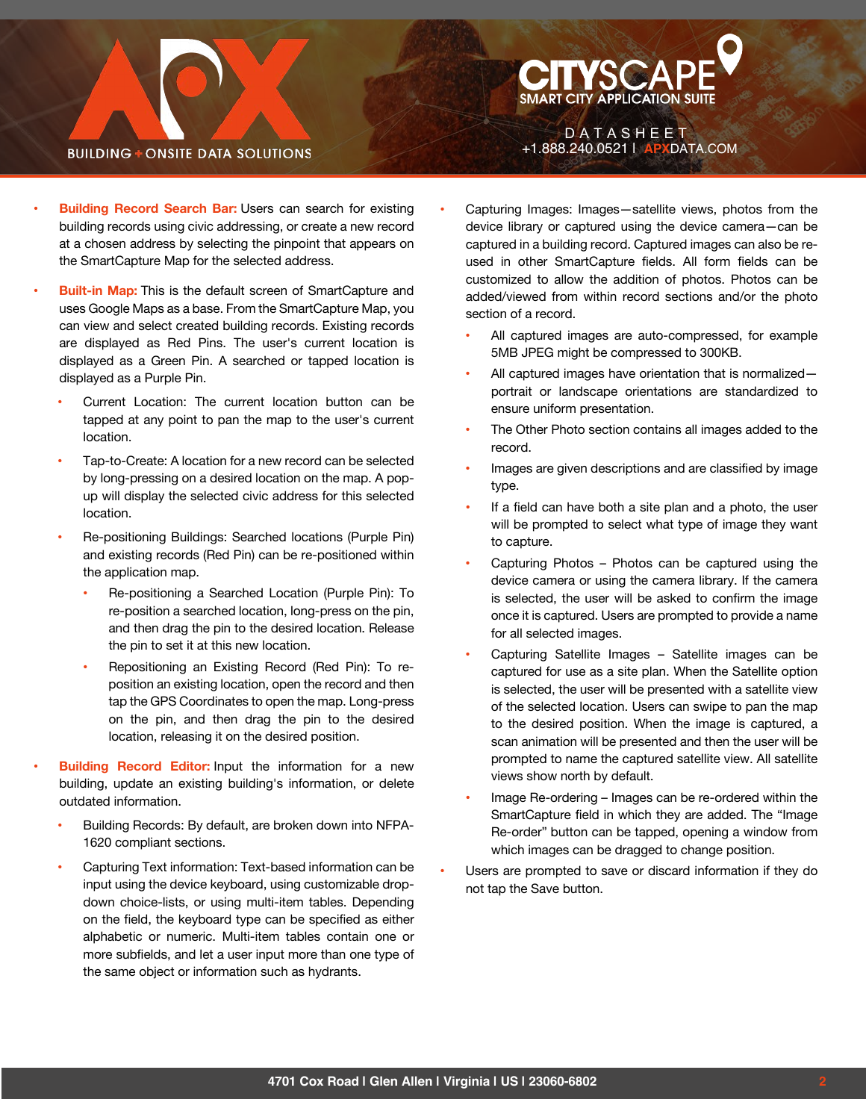# **BUILDING + ONSITE DATA SOLUTIONS**

Capturing Images: Images-satellite views, photos from the device library or captured using the device camera—can be captured in a building record. Captured images can also be reused in other SmartCapture fields. All form fields can be customized to allow the addition of photos. Photos can be added/viewed from within record sections and/or the photo section of a record.

 $D$   $A$   $T$   $A$   $S$   $H$   $E$   $E$   $T$ +1.888.240.0521 | **APX**DATA.COM

**CITYSCAPE** 

- All captured images are auto-compressed, for example 5MB JPEG might be compressed to 300KB.
- All captured images have orientation that is normalizedportrait or landscape orientations are standardized to ensure uniform presentation.
- The Other Photo section contains all images added to the record.
- Images are given descriptions and are classified by image type.
- If a field can have both a site plan and a photo, the user will be prompted to select what type of image they want to capture.
- Capturing Photos Photos can be captured using the device camera or using the camera library. If the camera is selected, the user will be asked to confirm the image once it is captured. Users are prompted to provide a name for all selected images.
- Capturing Satellite Images Satellite images can be captured for use as a site plan. When the Satellite option is selected, the user will be presented with a satellite view of the selected location. Users can swipe to pan the map to the desired position. When the image is captured, a scan animation will be presented and then the user will be prompted to name the captured satellite view. All satellite views show north by default.
- Image Re-ordering Images can be re-ordered within the SmartCapture field in which they are added. The "Image Re-order" button can be tapped, opening a window from which images can be dragged to change position.
- Users are prompted to save or discard information if they do not tap the Save button.
- " **Building Record Search Bar:** Users can search for existing building records using civic addressing, or create a new record at a chosen address by selecting the pinpoint that appears on the SmartCapture Map for the selected address.
- **Built-in Map:** This is the default screen of SmartCapture and uses Google Maps as a base. From the SmartCapture Map, you can view and select created building records. Existing records are displayed as Red Pins. The user's current location is displayed as a Green Pin. A searched or tapped location is displayed as a Purple Pin.
	- Current Location: The current location button can be tapped at any point to pan the map to the user's current location.
	- Tap-to-Create: A location for a new record can be selected by long-pressing on a desired location on the map. A popup will display the selected civic address for this selected location.
	- Re-positioning Buildings: Searched locations (Purple Pin) and existing records (Red Pin) can be re-positioned within the application map.
		- Re-positioning a Searched Location (Purple Pin): To re-position a searched location, long-press on the pin, and then drag the pin to the desired location. Release the pin to set it at this new location.
		- Repositioning an Existing Record (Red Pin): To reposition an existing location, open the record and then tap the GPS Coordinates to open the map. Long-press on the pin, and then drag the pin to the desired location, releasing it on the desired position.
- " **Building Record Editor:** Input the information for a new building, update an existing building's information, or delete outdated information.
	- Building Records: By default, are broken down into NFPA-1620 compliant sections.
	- Capturing Text information: Text-based information can be input using the device keyboard, using customizable dropdown choice-lists, or using multi-item tables. Depending on the field, the keyboard type can be specified as either alphabetic or numeric. Multi-item tables contain one or more subfields, and let a user input more than one type of the same object or information such as hydrants.